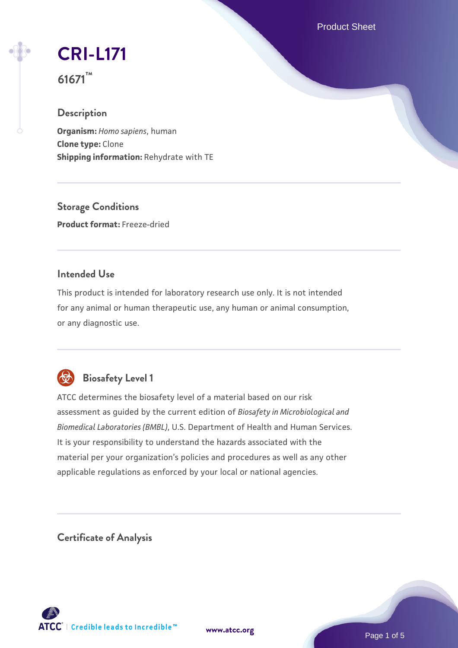Product Sheet

# **[CRI-L171](https://www.atcc.org/products/61671)**

**61671™**

# **Description**

**Organism:** *Homo sapiens*, human **Clone type:** Clone **Shipping information:** Rehydrate with TE

**Storage Conditions Product format:** Freeze-dried

### **Intended Use**

This product is intended for laboratory research use only. It is not intended for any animal or human therapeutic use, any human or animal consumption, or any diagnostic use.



# **Biosafety Level 1**

ATCC determines the biosafety level of a material based on our risk assessment as guided by the current edition of *Biosafety in Microbiological and Biomedical Laboratories (BMBL)*, U.S. Department of Health and Human Services. It is your responsibility to understand the hazards associated with the material per your organization's policies and procedures as well as any other applicable regulations as enforced by your local or national agencies.

**Certificate of Analysis**

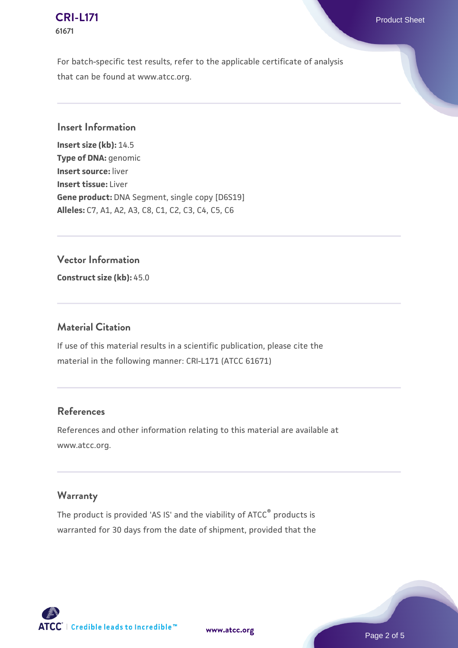#### **[CRI-L171](https://www.atcc.org/products/61671)** Product Sheet **61671**

For batch-specific test results, refer to the applicable certificate of analysis that can be found at www.atcc.org.

#### **Insert Information**

**Insert size (kb):** 14.5 **Type of DNA:** genomic **Insert source:** liver **Insert tissue:** Liver **Gene product:** DNA Segment, single copy [D6S19] **Alleles:** C7, A1, A2, A3, C8, C1, C2, C3, C4, C5, C6

#### **Vector Information**

**Construct size (kb):** 45.0

#### **Material Citation**

If use of this material results in a scientific publication, please cite the material in the following manner: CRI-L171 (ATCC 61671)

#### **References**

References and other information relating to this material are available at www.atcc.org.

# **Warranty**

The product is provided 'AS IS' and the viability of ATCC® products is warranted for 30 days from the date of shipment, provided that the



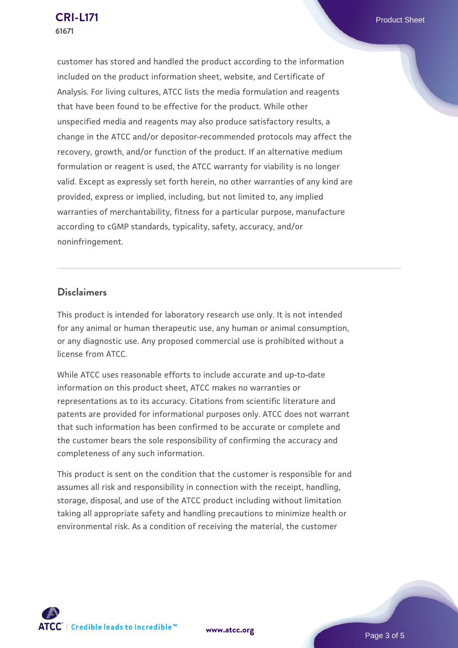customer has stored and handled the product according to the information included on the product information sheet, website, and Certificate of Analysis. For living cultures, ATCC lists the media formulation and reagents that have been found to be effective for the product. While other unspecified media and reagents may also produce satisfactory results, a change in the ATCC and/or depositor-recommended protocols may affect the recovery, growth, and/or function of the product. If an alternative medium formulation or reagent is used, the ATCC warranty for viability is no longer valid. Except as expressly set forth herein, no other warranties of any kind are provided, express or implied, including, but not limited to, any implied warranties of merchantability, fitness for a particular purpose, manufacture according to cGMP standards, typicality, safety, accuracy, and/or noninfringement.

#### **Disclaimers**

This product is intended for laboratory research use only. It is not intended for any animal or human therapeutic use, any human or animal consumption, or any diagnostic use. Any proposed commercial use is prohibited without a license from ATCC.

While ATCC uses reasonable efforts to include accurate and up-to-date information on this product sheet, ATCC makes no warranties or representations as to its accuracy. Citations from scientific literature and patents are provided for informational purposes only. ATCC does not warrant that such information has been confirmed to be accurate or complete and the customer bears the sole responsibility of confirming the accuracy and completeness of any such information.

This product is sent on the condition that the customer is responsible for and assumes all risk and responsibility in connection with the receipt, handling, storage, disposal, and use of the ATCC product including without limitation taking all appropriate safety and handling precautions to minimize health or environmental risk. As a condition of receiving the material, the customer

**[www.atcc.org](http://www.atcc.org)**



Page 3 of 5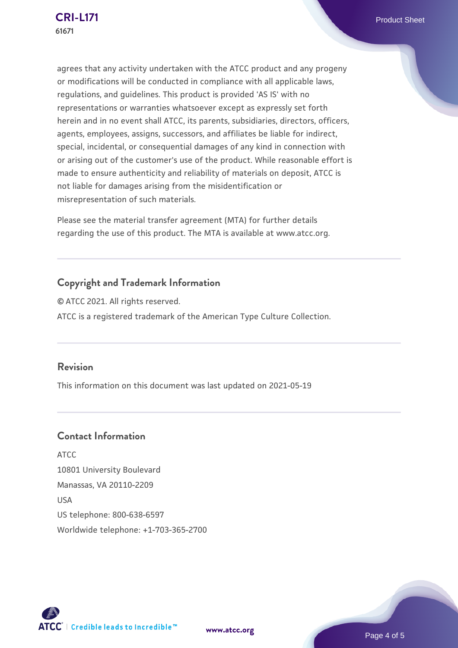agrees that any activity undertaken with the ATCC product and any progeny or modifications will be conducted in compliance with all applicable laws, regulations, and guidelines. This product is provided 'AS IS' with no representations or warranties whatsoever except as expressly set forth herein and in no event shall ATCC, its parents, subsidiaries, directors, officers, agents, employees, assigns, successors, and affiliates be liable for indirect, special, incidental, or consequential damages of any kind in connection with or arising out of the customer's use of the product. While reasonable effort is made to ensure authenticity and reliability of materials on deposit, ATCC is not liable for damages arising from the misidentification or misrepresentation of such materials.

Please see the material transfer agreement (MTA) for further details regarding the use of this product. The MTA is available at www.atcc.org.

# **Copyright and Trademark Information**

© ATCC 2021. All rights reserved. ATCC is a registered trademark of the American Type Culture Collection.

#### **Revision**

This information on this document was last updated on 2021-05-19

# **Contact Information**

ATCC 10801 University Boulevard Manassas, VA 20110-2209 USA US telephone: 800-638-6597 Worldwide telephone: +1-703-365-2700